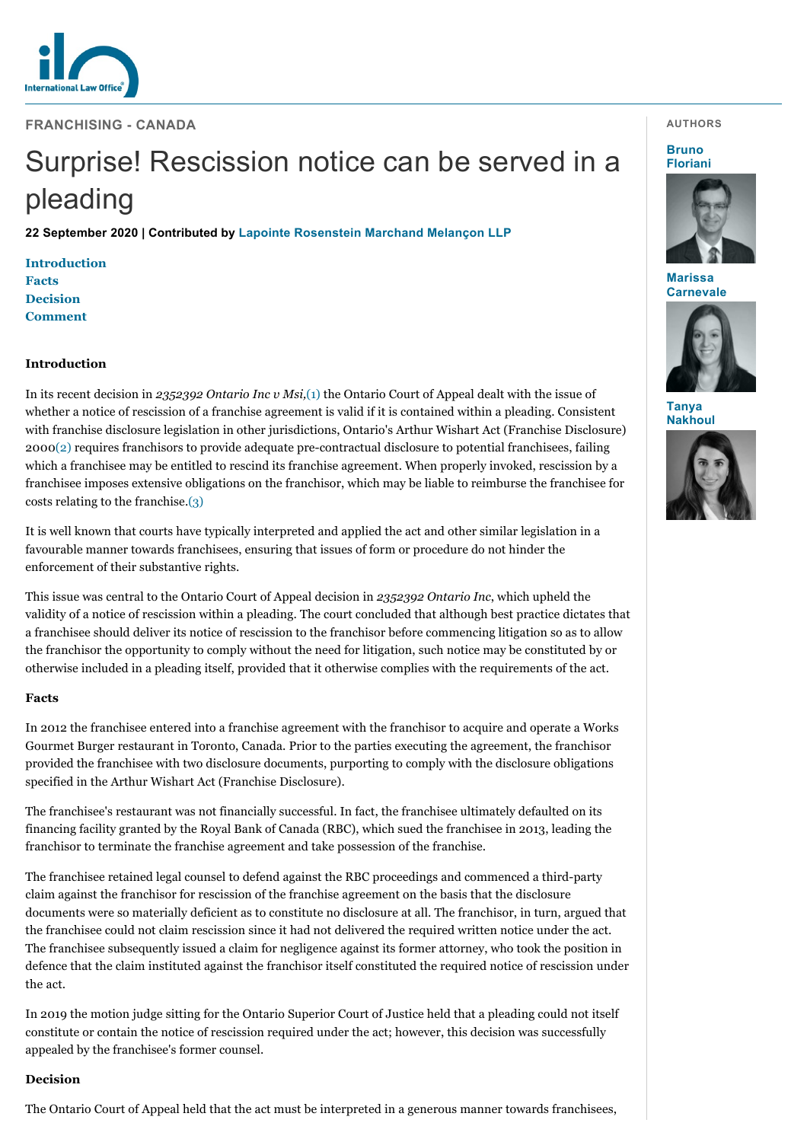

**FRANCHISING - CANADA**

# Surprise! Rescission notice can be served in a pleading

**22 September 2020 | Contributed by [Lapointe Rosenstein Marchand Melançon LLP](https://www.internationallawoffice.com/gesr.ashx?l=968TAXY)**

**[Introduction](#page-0-0) [Facts](#page-0-1) [Decision](#page-0-2) [Comment](#page-1-0)**

## <span id="page-0-0"></span>**Introduction**

In its recent decision in *2352392 Ontario Inc v Msi,*[\(1\)](#page-1-1) the Ontario Court of Appeal dealt with the issue of whether a notice of rescission of a franchise agreement is valid if it is contained within a pleading. Consistent with franchise disclosure legislation in other jurisdictions, Ontario's Arthur Wishart Act (Franchise Disclosure) 2000[\(2\)](#page-1-2) requires franchisors to provide adequate pre-contractual disclosure to potential franchisees, failing which a franchisee may be entitled to rescind its franchise agreement. When properly invoked, rescission by a franchisee imposes extensive obligations on the franchisor, which may be liable to reimburse the franchisee for costs relating to the franchise.[\(3\)](#page-1-3)

It is well known that courts have typically interpreted and applied the act and other similar legislation in a favourable manner towards franchisees, ensuring that issues of form or procedure do not hinder the enforcement of their substantive rights.

This issue was central to the Ontario Court of Appeal decision in *2352392 Ontario Inc*, which upheld the validity of a notice of rescission within a pleading. The court concluded that although best practice dictates that a franchisee should deliver its notice of rescission to the franchisor before commencing litigation so as to allow the franchisor the opportunity to comply without the need for litigation, such notice may be constituted by or otherwise included in a pleading itself, provided that it otherwise complies with the requirements of the act.

## <span id="page-0-1"></span>**Facts**

In 2012 the franchisee entered into a franchise agreement with the franchisor to acquire and operate a Works Gourmet Burger restaurant in Toronto, Canada. Prior to the parties executing the agreement, the franchisor provided the franchisee with two disclosure documents, purporting to comply with the disclosure obligations specified in the Arthur Wishart Act (Franchise Disclosure).

The franchisee's restaurant was not financially successful. In fact, the franchisee ultimately defaulted on its financing facility granted by the Royal Bank of Canada (RBC), which sued the franchisee in 2013, leading the franchisor to terminate the franchise agreement and take possession of the franchise.

The franchisee retained legal counsel to defend against the RBC proceedings and commenced a third-party claim against the franchisor for rescission of the franchise agreement on the basis that the disclosure documents were so materially deficient as to constitute no disclosure at all. The franchisor, in turn, argued that the franchisee could not claim rescission since it had not delivered the required written notice under the act. The franchisee subsequently issued a claim for negligence against its former attorney, who took the position in defence that the claim instituted against the franchisor itself constituted the required notice of rescission under the act.

In 2019 the motion judge sitting for the Ontario Superior Court of Justice held that a pleading could not itself constitute or contain the notice of rescission required under the act; however, this decision was successfully appealed by the franchisee's former counsel.

#### <span id="page-0-2"></span>**Decision**

The Ontario Court of Appeal held that the act must be interpreted in a generous manner towards franchisees,

#### **AUTHORS**

**Bruno [Floriani](https://www.internationallawoffice.com/gesr.ashx?l=968TAYG)**



**Marissa [Carnevale](https://www.internationallawoffice.com/gesr.ashx?l=968TAYN)**



**Tanya [Nakhoul](https://www.internationallawoffice.com/gesr.ashx?l=968TAYR)**